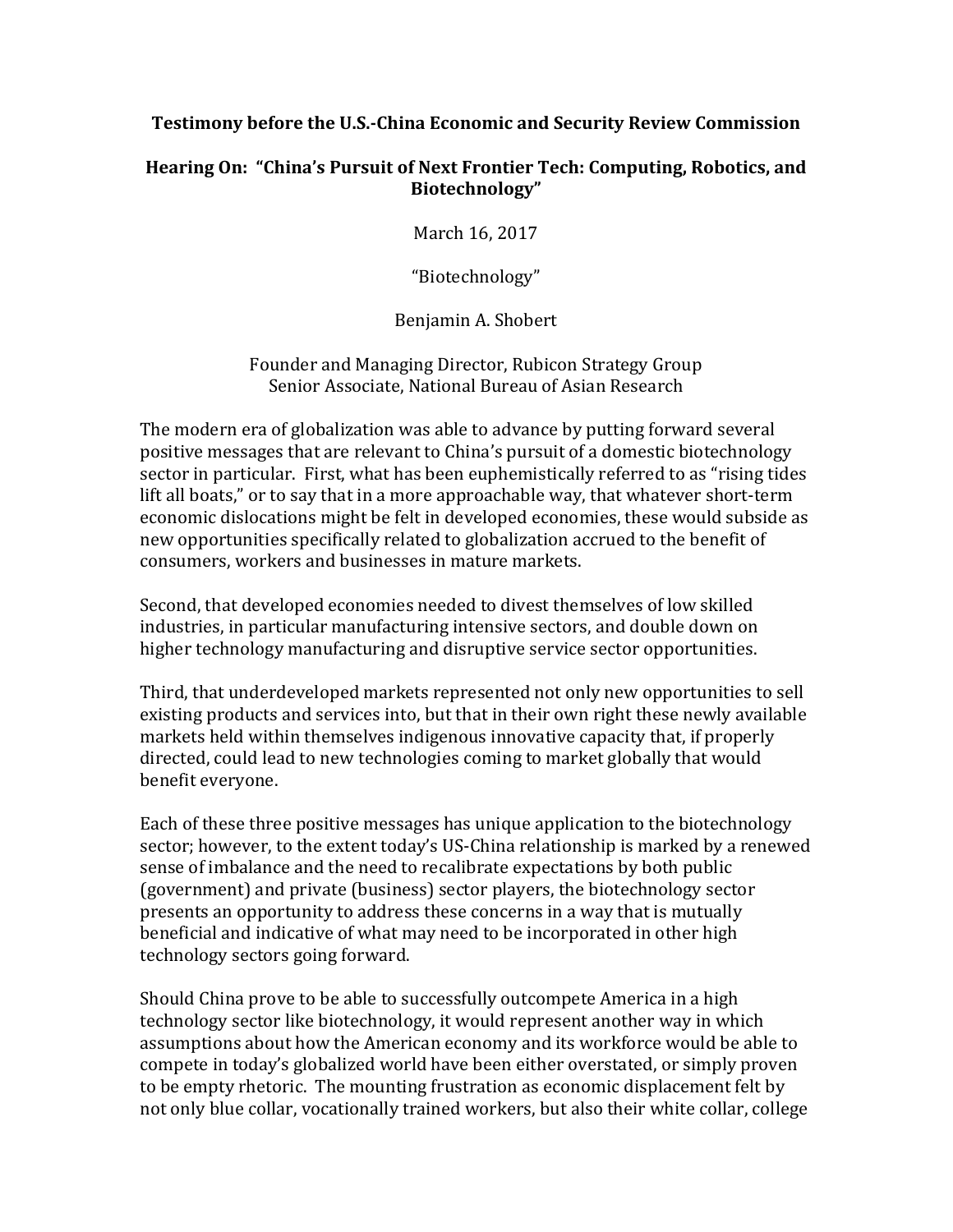### **Testimony before the U.S.-China Economic and Security Review Commission**

### **Hearing On: "China's Pursuit of Next Frontier Tech: Computing, Robotics, and Biotechnology"**

March 16, 2017

"Biotechnology"

Benjamin A. Shobert

Founder and Managing Director, Rubicon Strategy Group Senior Associate, National Bureau of Asian Research

The modern era of globalization was able to advance by putting forward several positive messages that are relevant to China's pursuit of a domestic biotechnology sector in particular. First, what has been euphemistically referred to as "rising tides lift all boats," or to say that in a more approachable way, that whatever short-term economic dislocations might be felt in developed economies, these would subside as new opportunities specifically related to globalization accrued to the benefit of consumers, workers and businesses in mature markets.

Second, that developed economies needed to divest themselves of low skilled industries, in particular manufacturing intensive sectors, and double down on higher technology manufacturing and disruptive service sector opportunities.

Third, that underdeveloped markets represented not only new opportunities to sell existing products and services into, but that in their own right these newly available markets held within themselves indigenous innovative capacity that, if properly directed, could lead to new technologies coming to market globally that would benefit everyone.

Each of these three positive messages has unique application to the biotechnology sector; however, to the extent today's US-China relationship is marked by a renewed sense of imbalance and the need to recalibrate expectations by both public (government) and private (business) sector players, the biotechnology sector presents an opportunity to address these concerns in a way that is mutually beneficial and indicative of what may need to be incorporated in other high technology sectors going forward.

Should China prove to be able to successfully outcompete America in a high technology sector like biotechnology, it would represent another way in which assumptions about how the American economy and its workforce would be able to compete in today's globalized world have been either overstated, or simply proven to be empty rhetoric. The mounting frustration as economic displacement felt by not only blue collar, vocationally trained workers, but also their white collar, college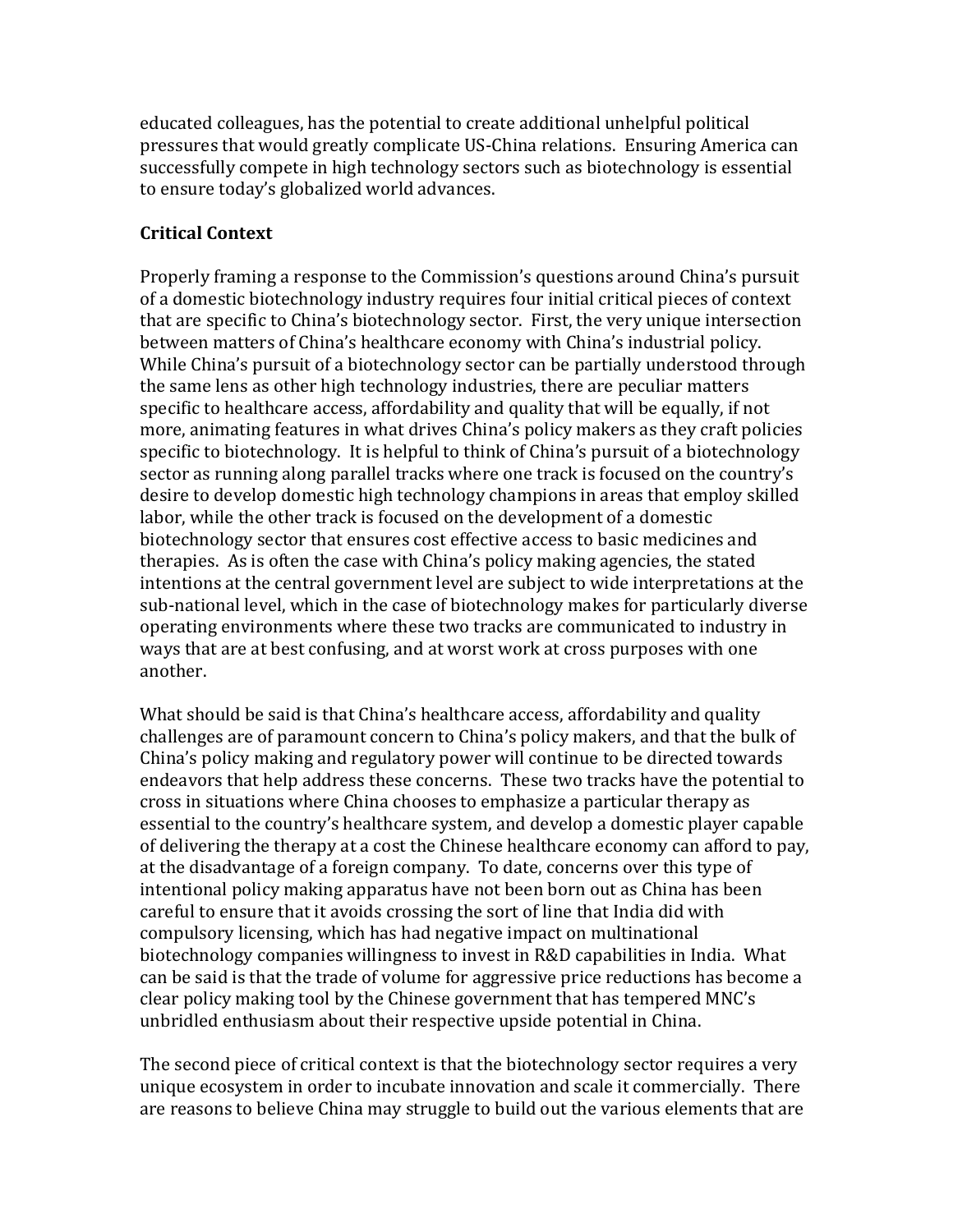educated colleagues, has the potential to create additional unhelpful political pressures that would greatly complicate US-China relations. Ensuring America can successfully compete in high technology sectors such as biotechnology is essential to ensure today's globalized world advances.

### **Critical Context**

Properly framing a response to the Commission's questions around China's pursuit of a domestic biotechnology industry requires four initial critical pieces of context that are specific to China's biotechnology sector. First, the very unique intersection between matters of China's healthcare economy with China's industrial policy. While China's pursuit of a biotechnology sector can be partially understood through the same lens as other high technology industries, there are peculiar matters specific to healthcare access, affordability and quality that will be equally, if not more, animating features in what drives China's policy makers as they craft policies specific to biotechnology. It is helpful to think of China's pursuit of a biotechnology sector as running along parallel tracks where one track is focused on the country's desire to develop domestic high technology champions in areas that employ skilled labor, while the other track is focused on the development of a domestic biotechnology sector that ensures cost effective access to basic medicines and therapies. As is often the case with China's policy making agencies, the stated intentions at the central government level are subject to wide interpretations at the sub-national level, which in the case of biotechnology makes for particularly diverse operating environments where these two tracks are communicated to industry in ways that are at best confusing, and at worst work at cross purposes with one another.

What should be said is that China's healthcare access, affordability and quality challenges are of paramount concern to China's policy makers, and that the bulk of China's policy making and regulatory power will continue to be directed towards endeavors that help address these concerns. These two tracks have the potential to cross in situations where China chooses to emphasize a particular therapy as essential to the country's healthcare system, and develop a domestic player capable of delivering the therapy at a cost the Chinese healthcare economy can afford to pay, at the disadvantage of a foreign company. To date, concerns over this type of intentional policy making apparatus have not been born out as China has been careful to ensure that it avoids crossing the sort of line that India did with compulsory licensing, which has had negative impact on multinational biotechnology companies willingness to invest in R&D capabilities in India. What can be said is that the trade of volume for aggressive price reductions has become a clear policy making tool by the Chinese government that has tempered MNC's unbridled enthusiasm about their respective upside potential in China.

The second piece of critical context is that the biotechnology sector requires a very unique ecosystem in order to incubate innovation and scale it commercially. There are reasons to believe China may struggle to build out the various elements that are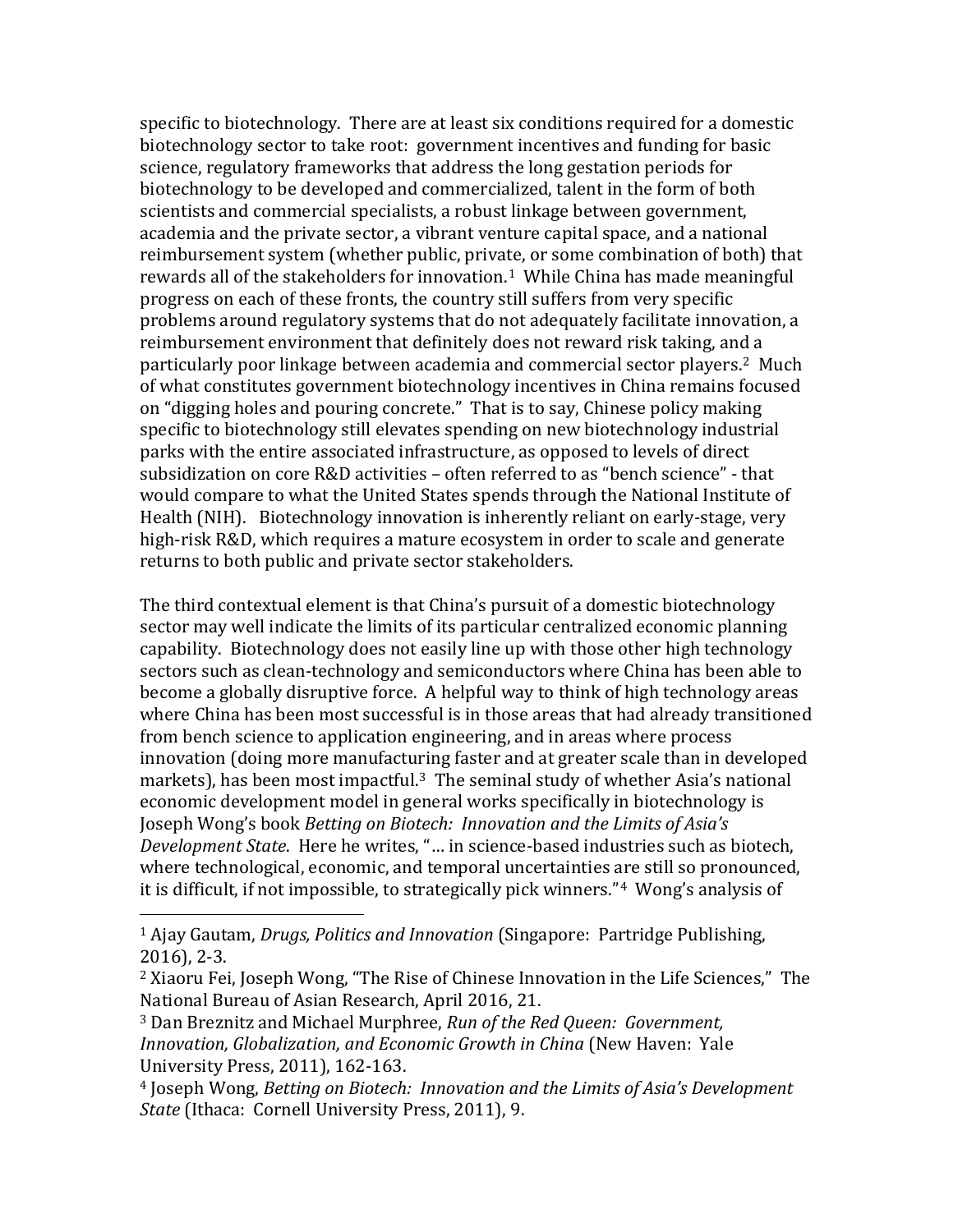specific to biotechnology. There are at least six conditions required for a domestic biotechnology sector to take root: government incentives and funding for basic science, regulatory frameworks that address the long gestation periods for biotechnology to be developed and commercialized, talent in the form of both scientists and commercial specialists, a robust linkage between government, academia and the private sector, a vibrant venture capital space, and a national reimbursement system (whether public, private, or some combination of both) that rewards all of the stakeholders for innovation.<sup>[1](#page-2-0)</sup> While China has made meaningful progress on each of these fronts, the country still suffers from very specific problems around regulatory systems that do not adequately facilitate innovation, a reimbursement environment that definitely does not reward risk taking, and a particularly poor linkage between academia and commercial sector players.[2](#page-2-1) Much of what constitutes government biotechnology incentives in China remains focused on "digging holes and pouring concrete." That is to say, Chinese policy making specific to biotechnology still elevates spending on new biotechnology industrial parks with the entire associated infrastructure, as opposed to levels of direct subsidization on core R&D activities – often referred to as "bench science" - that would compare to what the United States spends through the National Institute of Health (NIH). Biotechnology innovation is inherently reliant on early-stage, very high-risk R&D, which requires a mature ecosystem in order to scale and generate returns to both public and private sector stakeholders.

The third contextual element is that China's pursuit of a domestic biotechnology sector may well indicate the limits of its particular centralized economic planning capability. Biotechnology does not easily line up with those other high technology sectors such as clean-technology and semiconductors where China has been able to become a globally disruptive force. A helpful way to think of high technology areas where China has been most successful is in those areas that had already transitioned from bench science to application engineering, and in areas where process innovation (doing more manufacturing faster and at greater scale than in developed markets), has been most impactful.<sup>[3](#page-2-2)</sup> The seminal study of whether Asia's national economic development model in general works specifically in biotechnology is Joseph Wong's book *Betting on Biotech: Innovation and the Limits of Asia's Development State*. Here he writes, "… in science-based industries such as biotech, where technological, economic, and temporal uncertainties are still so pronounced, it is difficult, if not impossible, to strategically pick winners."[4](#page-2-3) Wong's analysis of

<span id="page-2-0"></span> <sup>1</sup> Ajay Gautam, *Drugs, Politics and Innovation* (Singapore: Partridge Publishing, 2016), 2-3.

<span id="page-2-1"></span><sup>2</sup> Xiaoru Fei, Joseph Wong, "The Rise of Chinese Innovation in the Life Sciences," The National Bureau of Asian Research, April 2016, 21.

<span id="page-2-2"></span><sup>3</sup> Dan Breznitz and Michael Murphree, *Run of the Red Queen: Government, Innovation, Globalization, and Economic Growth in China* (New Haven: Yale University Press, 2011), 162-163.

<span id="page-2-3"></span><sup>4</sup> Joseph Wong, *Betting on Biotech: Innovation and the Limits of Asia's Development State* (Ithaca: Cornell University Press, 2011), 9.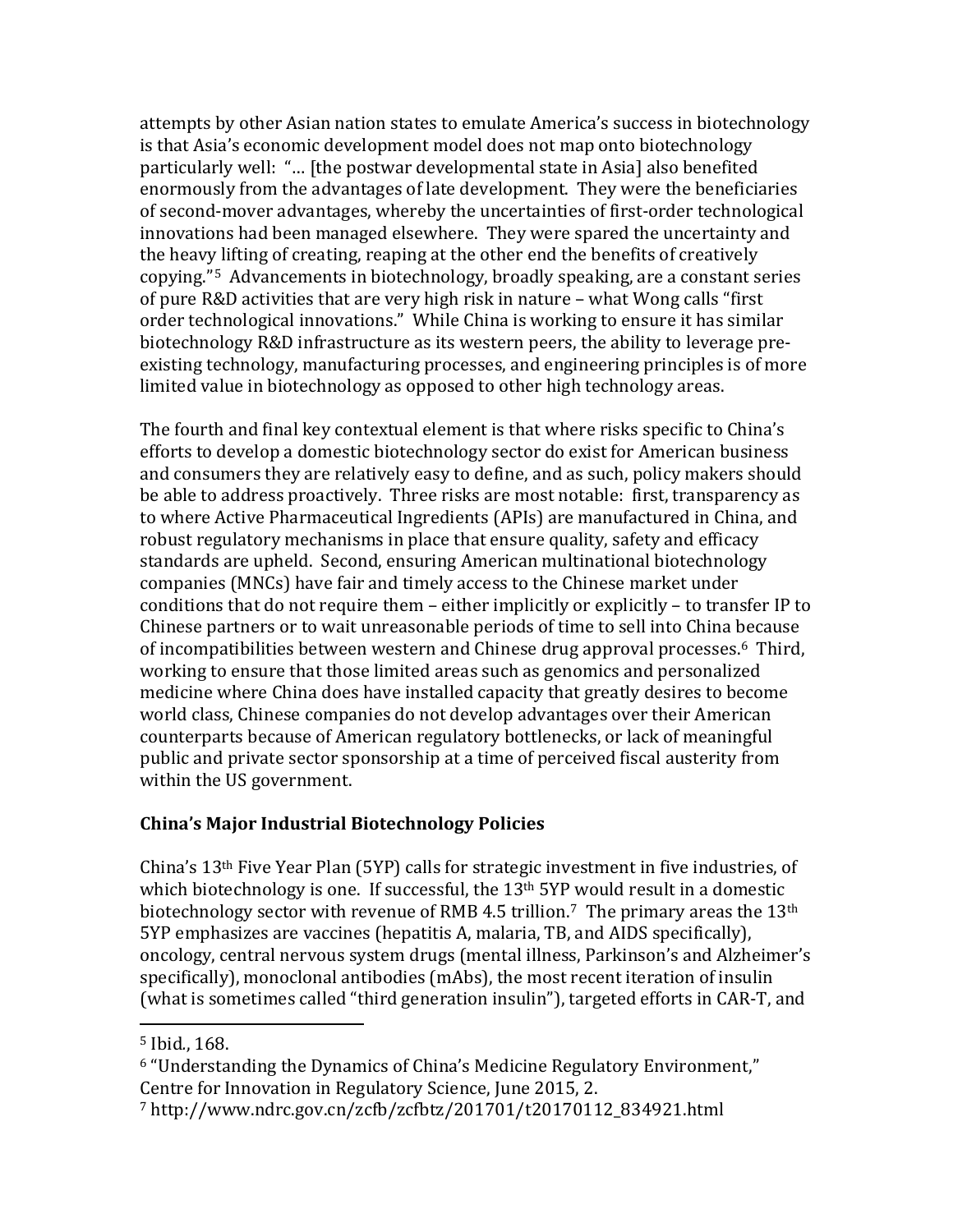attempts by other Asian nation states to emulate America's success in biotechnology is that Asia's economic development model does not map onto biotechnology particularly well: "… [the postwar developmental state in Asia] also benefited enormously from the advantages of late development. They were the beneficiaries of second-mover advantages, whereby the uncertainties of first-order technological innovations had been managed elsewhere. They were spared the uncertainty and the heavy lifting of creating, reaping at the other end the benefits of creatively copying."[5](#page-3-0) Advancements in biotechnology, broadly speaking, are a constant series of pure R&D activities that are very high risk in nature – what Wong calls "first order technological innovations." While China is working to ensure it has similar biotechnology R&D infrastructure as its western peers, the ability to leverage preexisting technology, manufacturing processes, and engineering principles is of more limited value in biotechnology as opposed to other high technology areas.

The fourth and final key contextual element is that where risks specific to China's efforts to develop a domestic biotechnology sector do exist for American business and consumers they are relatively easy to define, and as such, policy makers should be able to address proactively. Three risks are most notable: first, transparency as to where Active Pharmaceutical Ingredients (APIs) are manufactured in China, and robust regulatory mechanisms in place that ensure quality, safety and efficacy standards are upheld. Second, ensuring American multinational biotechnology companies (MNCs) have fair and timely access to the Chinese market under conditions that do not require them – either implicitly or explicitly – to transfer IP to Chinese partners or to wait unreasonable periods of time to sell into China because of incompatibilities between western and Chinese drug approval processes. [6](#page-3-1) Third, working to ensure that those limited areas such as genomics and personalized medicine where China does have installed capacity that greatly desires to become world class, Chinese companies do not develop advantages over their American counterparts because of American regulatory bottlenecks, or lack of meaningful public and private sector sponsorship at a time of perceived fiscal austerity from within the US government.

## **China's Major Industrial Biotechnology Policies**

China's 13th Five Year Plan (5YP) calls for strategic investment in five industries, of which biotechnology is one. If successful, the 13<sup>th</sup> 5YP would result in a domestic biotechnology sector with revenue of RMB 4.5 trillion.<sup>[7](#page-3-2)</sup> The primary areas the 13<sup>th</sup> 5YP emphasizes are vaccines (hepatitis A, malaria, TB, and AIDS specifically), oncology, central nervous system drugs (mental illness, Parkinson's and Alzheimer's specifically), monoclonal antibodies (mAbs), the most recent iteration of insulin (what is sometimes called "third generation insulin"), targeted efforts in CAR-T, and

<span id="page-3-0"></span> <sup>5</sup> Ibid*.*, 168.

<span id="page-3-1"></span><sup>6</sup> "Understanding the Dynamics of China's Medicine Regulatory Environment," Centre for Innovation in Regulatory Science, June 2015, 2.

<span id="page-3-2"></span><sup>7</sup> http://www.ndrc.gov.cn/zcfb/zcfbtz/201701/t20170112\_834921.html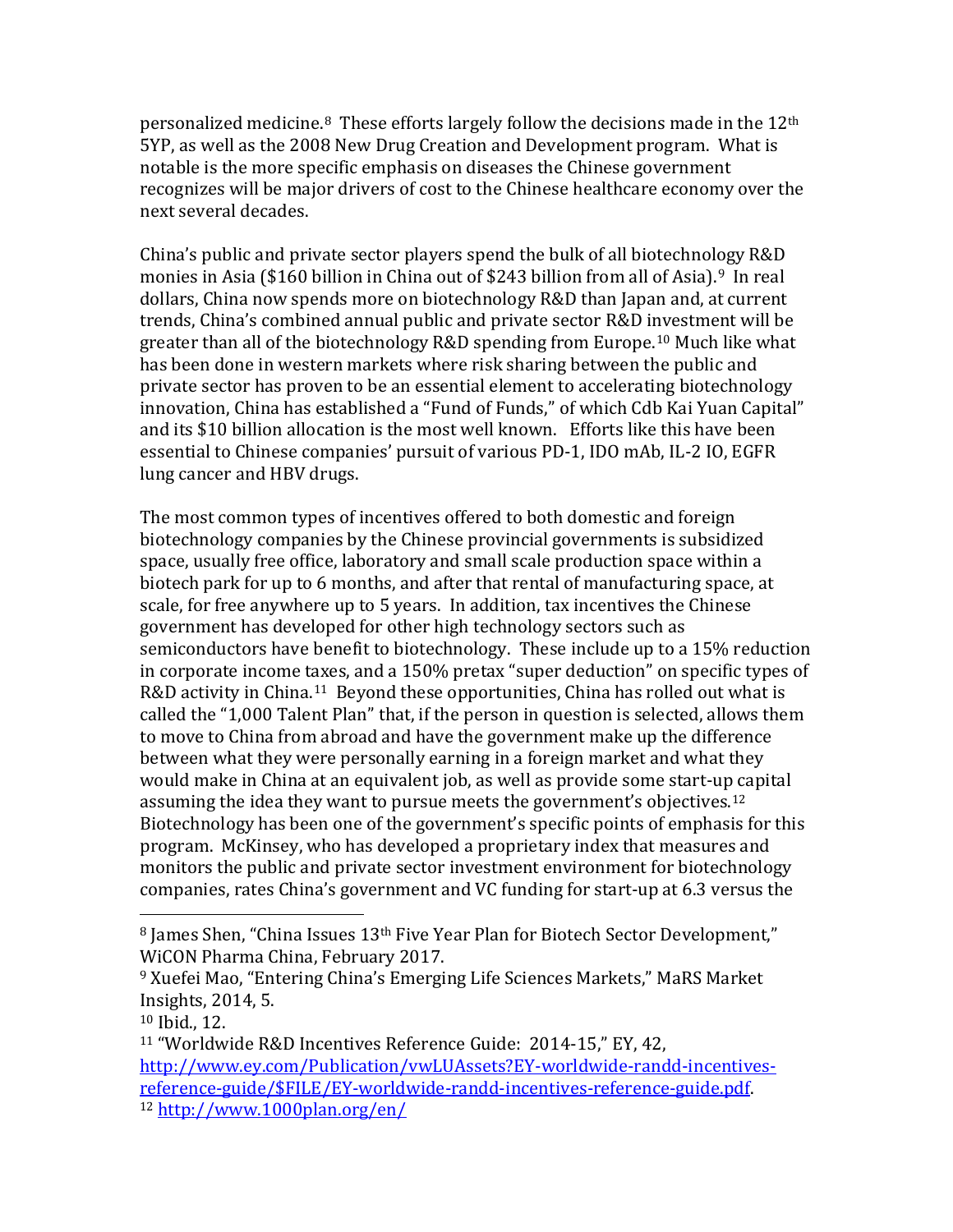personalized medicine.[8](#page-4-0) These efforts largely follow the decisions made in the 12th 5YP, as well as the 2008 New Drug Creation and Development program. What is notable is the more specific emphasis on diseases the Chinese government recognizes will be major drivers of cost to the Chinese healthcare economy over the next several decades.

China's public and private sector players spend the bulk of all biotechnology R&D monies in Asia (\$160 billion in China out of \$243 billion from all of Asia).<sup>9</sup> In real dollars, China now spends more on biotechnology R&D than Japan and, at current trends, China's combined annual public and private sector R&D investment will be greater than all of the biotechnology R&D spending from Europe.[10](#page-4-2) Much like what has been done in western markets where risk sharing between the public and private sector has proven to be an essential element to accelerating biotechnology innovation, China has established a "Fund of Funds," of which Cdb Kai Yuan Capital" and its \$10 billion allocation is the most well known. Efforts like this have been essential to Chinese companies' pursuit of various PD-1, IDO mAb, IL-2 IO, EGFR lung cancer and HBV drugs.

The most common types of incentives offered to both domestic and foreign biotechnology companies by the Chinese provincial governments is subsidized space, usually free office, laboratory and small scale production space within a biotech park for up to 6 months, and after that rental of manufacturing space, at scale, for free anywhere up to 5 years. In addition, tax incentives the Chinese government has developed for other high technology sectors such as semiconductors have benefit to biotechnology. These include up to a 15% reduction in corporate income taxes, and a 150% pretax "super deduction" on specific types of R&D activity in China.<sup>11</sup> Beyond these opportunities, China has rolled out what is called the "1,000 Talent Plan" that, if the person in question is selected, allows them to move to China from abroad and have the government make up the difference between what they were personally earning in a foreign market and what they would make in China at an equivalent job, as well as provide some start-up capital assuming the idea they want to pursue meets the government's objectives.[12](#page-4-4)  Biotechnology has been one of the government's specific points of emphasis for this program. McKinsey, who has developed a proprietary index that measures and monitors the public and private sector investment environment for biotechnology companies, rates China's government and VC funding for start-up at 6.3 versus the

<span id="page-4-0"></span><sup>8</sup> James Shen, "China Issues 13<sup>th</sup> Five Year Plan for Biotech Sector Development," WiCON Pharma China, February 2017.

<span id="page-4-1"></span><sup>9</sup> Xuefei Mao, "Entering China's Emerging Life Sciences Markets," MaRS Market Insights, 2014, 5.

<span id="page-4-2"></span><sup>10</sup> Ibid., 12.

<span id="page-4-4"></span><span id="page-4-3"></span><sup>11</sup> "Worldwide R&D Incentives Reference Guide: 2014-15," EY, 42, [http://www.ey.com/Publication/vwLUAssets?EY-worldwide-randd-incentives](http://www.ey.com/Publication/vwLUAssets?EY-worldwide-randd-incentives-reference-guide/$FILE/EY-worldwide-randd-incentives-reference-guide.pdf)[reference-guide/\\$FILE/EY-worldwide-randd-incentives-reference-guide.pdf.](http://www.ey.com/Publication/vwLUAssets?EY-worldwide-randd-incentives-reference-guide/$FILE/EY-worldwide-randd-incentives-reference-guide.pdf) 12 http://www.1000plan.org/en/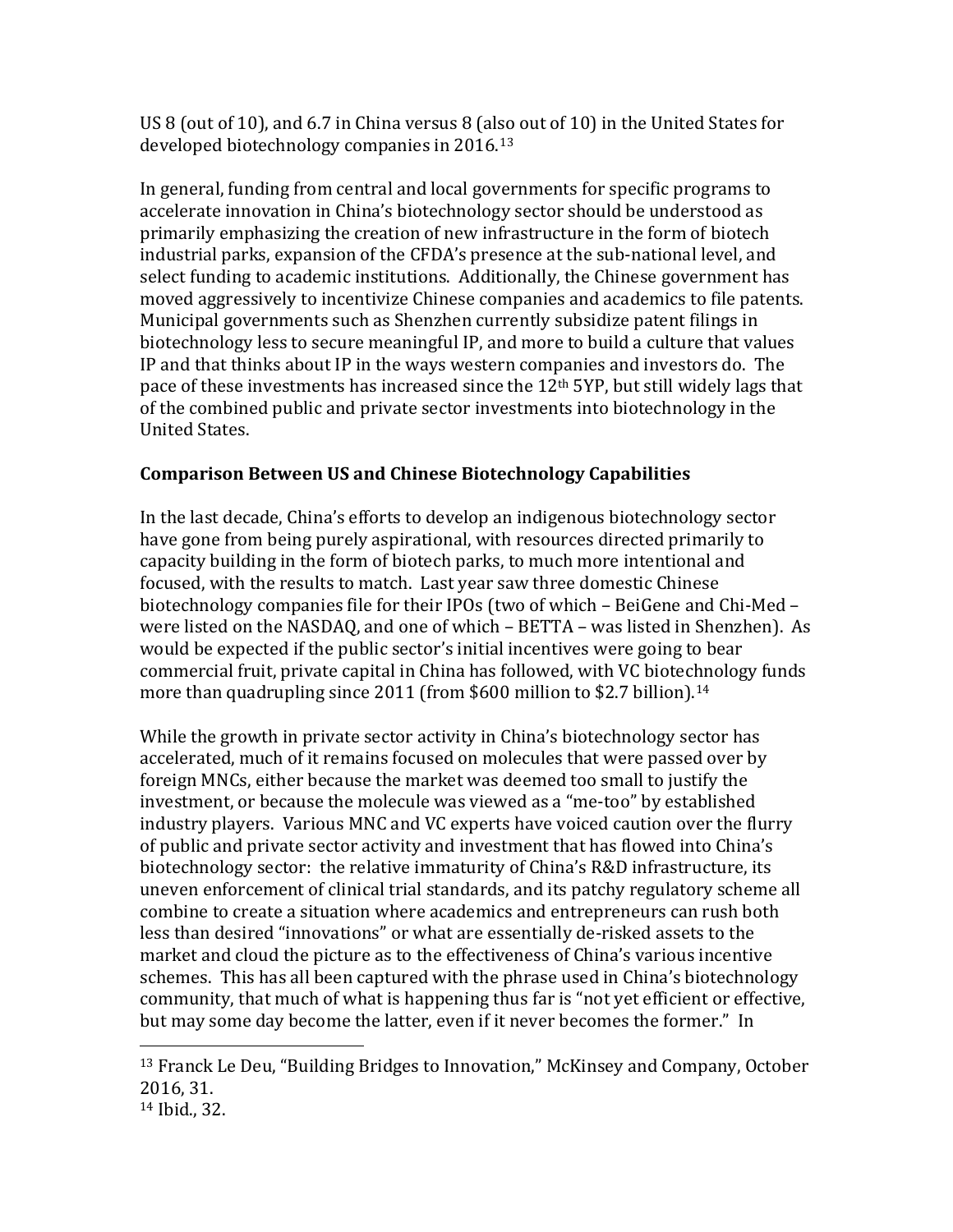US 8 (out of 10), and 6.7 in China versus 8 (also out of 10) in the United States for developed biotechnology companies in 2016.[13](#page-5-0)

In general, funding from central and local governments for specific programs to accelerate innovation in China's biotechnology sector should be understood as primarily emphasizing the creation of new infrastructure in the form of biotech industrial parks, expansion of the CFDA's presence at the sub-national level, and select funding to academic institutions. Additionally, the Chinese government has moved aggressively to incentivize Chinese companies and academics to file patents. Municipal governments such as Shenzhen currently subsidize patent filings in biotechnology less to secure meaningful IP, and more to build a culture that values IP and that thinks about IP in the ways western companies and investors do. The pace of these investments has increased since the 12th 5YP, but still widely lags that of the combined public and private sector investments into biotechnology in the United States.

## **Comparison Between US and Chinese Biotechnology Capabilities**

In the last decade, China's efforts to develop an indigenous biotechnology sector have gone from being purely aspirational, with resources directed primarily to capacity building in the form of biotech parks, to much more intentional and focused, with the results to match. Last year saw three domestic Chinese biotechnology companies file for their IPOs (two of which – BeiGene and Chi-Med – were listed on the NASDAQ, and one of which – BETTA – was listed in Shenzhen). As would be expected if the public sector's initial incentives were going to bear commercial fruit, private capital in China has followed, with VC biotechnology funds more than quadrupling since 2011 (from \$600 million to \$2.7 billion).<sup>[14](#page-5-1)</sup>

While the growth in private sector activity in China's biotechnology sector has accelerated, much of it remains focused on molecules that were passed over by foreign MNCs, either because the market was deemed too small to justify the investment, or because the molecule was viewed as a "me-too" by established industry players. Various MNC and VC experts have voiced caution over the flurry of public and private sector activity and investment that has flowed into China's biotechnology sector: the relative immaturity of China's R&D infrastructure, its uneven enforcement of clinical trial standards, and its patchy regulatory scheme all combine to create a situation where academics and entrepreneurs can rush both less than desired "innovations" or what are essentially de-risked assets to the market and cloud the picture as to the effectiveness of China's various incentive schemes. This has all been captured with the phrase used in China's biotechnology community, that much of what is happening thus far is "not yet efficient or effective, but may some day become the latter, even if it never becomes the former." In

<span id="page-5-0"></span> <sup>13</sup> Franck Le Deu, "Building Bridges to Innovation," McKinsey and Company, October 2016, 31.

<span id="page-5-1"></span><sup>14</sup> Ibid., 32.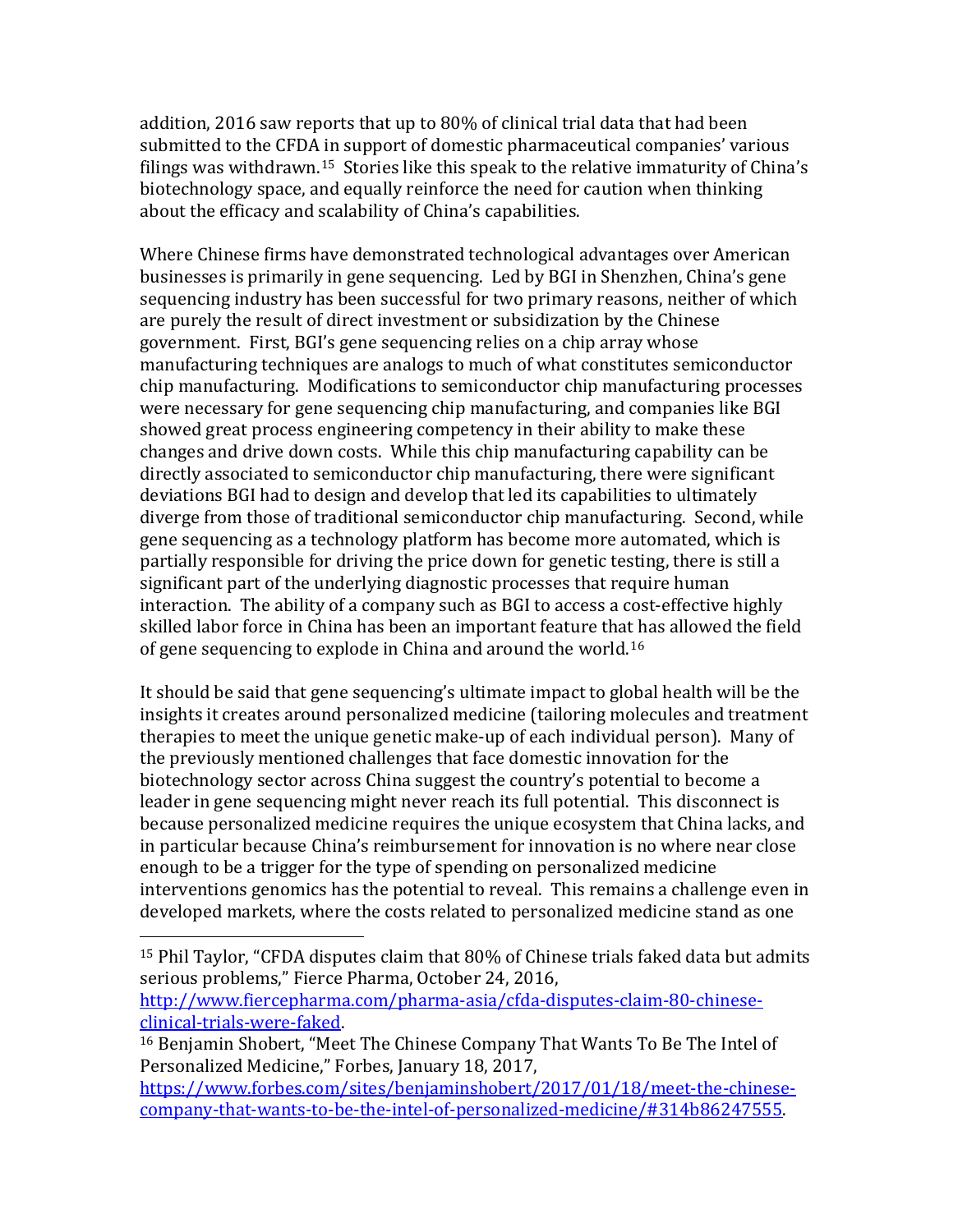addition, 2016 saw reports that up to 80% of clinical trial data that had been submitted to the CFDA in support of domestic pharmaceutical companies' various filings was withdrawn.[15](#page-6-0) Stories like this speak to the relative immaturity of China's biotechnology space, and equally reinforce the need for caution when thinking about the efficacy and scalability of China's capabilities.

Where Chinese firms have demonstrated technological advantages over American businesses is primarily in gene sequencing. Led by BGI in Shenzhen, China's gene sequencing industry has been successful for two primary reasons, neither of which are purely the result of direct investment or subsidization by the Chinese government. First, BGI's gene sequencing relies on a chip array whose manufacturing techniques are analogs to much of what constitutes semiconductor chip manufacturing. Modifications to semiconductor chip manufacturing processes were necessary for gene sequencing chip manufacturing, and companies like BGI showed great process engineering competency in their ability to make these changes and drive down costs. While this chip manufacturing capability can be directly associated to semiconductor chip manufacturing, there were significant deviations BGI had to design and develop that led its capabilities to ultimately diverge from those of traditional semiconductor chip manufacturing. Second, while gene sequencing as a technology platform has become more automated, which is partially responsible for driving the price down for genetic testing, there is still a significant part of the underlying diagnostic processes that require human interaction. The ability of a company such as BGI to access a cost-effective highly skilled labor force in China has been an important feature that has allowed the field of gene sequencing to explode in China and around the world.[16](#page-6-1)

It should be said that gene sequencing's ultimate impact to global health will be the insights it creates around personalized medicine (tailoring molecules and treatment therapies to meet the unique genetic make-up of each individual person). Many of the previously mentioned challenges that face domestic innovation for the biotechnology sector across China suggest the country's potential to become a leader in gene sequencing might never reach its full potential. This disconnect is because personalized medicine requires the unique ecosystem that China lacks, and in particular because China's reimbursement for innovation is no where near close enough to be a trigger for the type of spending on personalized medicine interventions genomics has the potential to reveal. This remains a challenge even in developed markets, where the costs related to personalized medicine stand as one

[http://www.fiercepharma.com/pharma-asia/cfda-disputes-claim-80-chinese-](http://www.fiercepharma.com/pharma-asia/cfda-disputes-claim-80-chinese-clinical-trials-were-faked)

<span id="page-6-0"></span> <sup>15</sup> Phil Taylor, "CFDA disputes claim that 80% of Chinese trials faked data but admits serious problems," Fierce Pharma, October 24, 2016,

<span id="page-6-1"></span><sup>&</sup>lt;sup>16</sup> Benjamin Shobert, "Meet The Chinese Company That Wants To Be The Intel of Personalized Medicine," Forbes, January 18, 2017,

[https://www.forbes.com/sites/benjaminshobert/2017/01/18/meet-the-chinese](https://www.forbes.com/sites/benjaminshobert/2017/01/18/meet-the-chinese-company-that-wants-to-be-the-intel-of-personalized-medicine/#314b86247555)[company-that-wants-to-be-the-intel-of-personalized-medicine/#314b86247555.](https://www.forbes.com/sites/benjaminshobert/2017/01/18/meet-the-chinese-company-that-wants-to-be-the-intel-of-personalized-medicine/#314b86247555)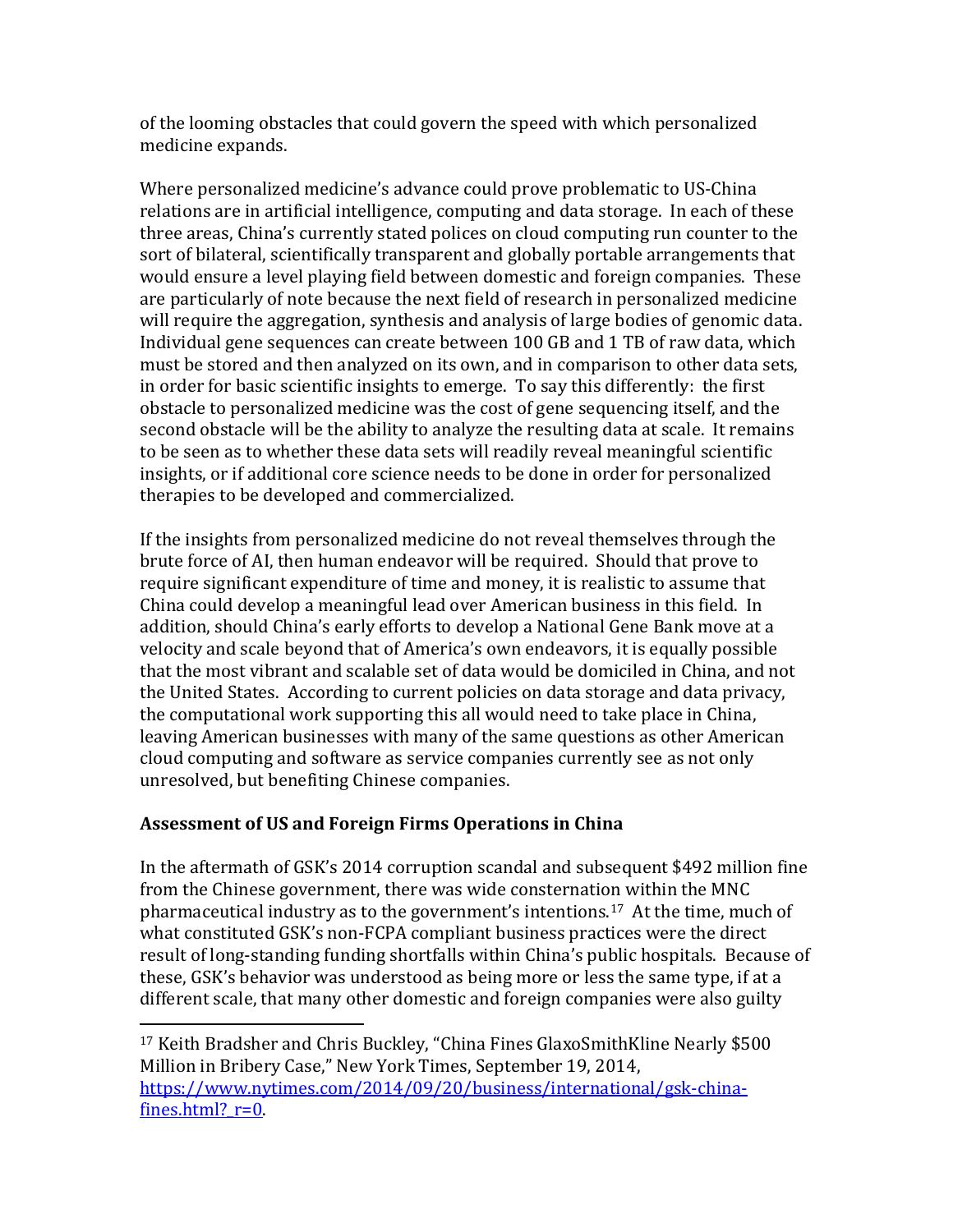of the looming obstacles that could govern the speed with which personalized medicine expands.

Where personalized medicine's advance could prove problematic to US-China relations are in artificial intelligence, computing and data storage. In each of these three areas, China's currently stated polices on cloud computing run counter to the sort of bilateral, scientifically transparent and globally portable arrangements that would ensure a level playing field between domestic and foreign companies. These are particularly of note because the next field of research in personalized medicine will require the aggregation, synthesis and analysis of large bodies of genomic data. Individual gene sequences can create between 100 GB and 1 TB of raw data, which must be stored and then analyzed on its own, and in comparison to other data sets, in order for basic scientific insights to emerge. To say this differently: the first obstacle to personalized medicine was the cost of gene sequencing itself, and the second obstacle will be the ability to analyze the resulting data at scale. It remains to be seen as to whether these data sets will readily reveal meaningful scientific insights, or if additional core science needs to be done in order for personalized therapies to be developed and commercialized.

If the insights from personalized medicine do not reveal themselves through the brute force of AI, then human endeavor will be required. Should that prove to require significant expenditure of time and money, it is realistic to assume that China could develop a meaningful lead over American business in this field. In addition, should China's early efforts to develop a National Gene Bank move at a velocity and scale beyond that of America's own endeavors, it is equally possible that the most vibrant and scalable set of data would be domiciled in China, and not the United States. According to current policies on data storage and data privacy, the computational work supporting this all would need to take place in China, leaving American businesses with many of the same questions as other American cloud computing and software as service companies currently see as not only unresolved, but benefiting Chinese companies.

# **Assessment of US and Foreign Firms Operations in China**

In the aftermath of GSK's 2014 corruption scandal and subsequent \$492 million fine from the Chinese government, there was wide consternation within the MNC pharmaceutical industry as to the government's intentions.[17](#page-7-0) At the time, much of what constituted GSK's non-FCPA compliant business practices were the direct result of long-standing funding shortfalls within China's public hospitals. Because of these, GSK's behavior was understood as being more or less the same type, if at a different scale, that many other domestic and foreign companies were also guilty

<span id="page-7-0"></span> <sup>17</sup> Keith Bradsher and Chris Buckley, "China Fines GlaxoSmithKline Nearly \$500 Million in Bribery Case," New York Times, September 19, 2014, [https://www.nytimes.com/2014/09/20/business/international/gsk-china](https://www.nytimes.com/2014/09/20/business/international/gsk-china-fines.html?_r=0)fines.html? $r=0$ .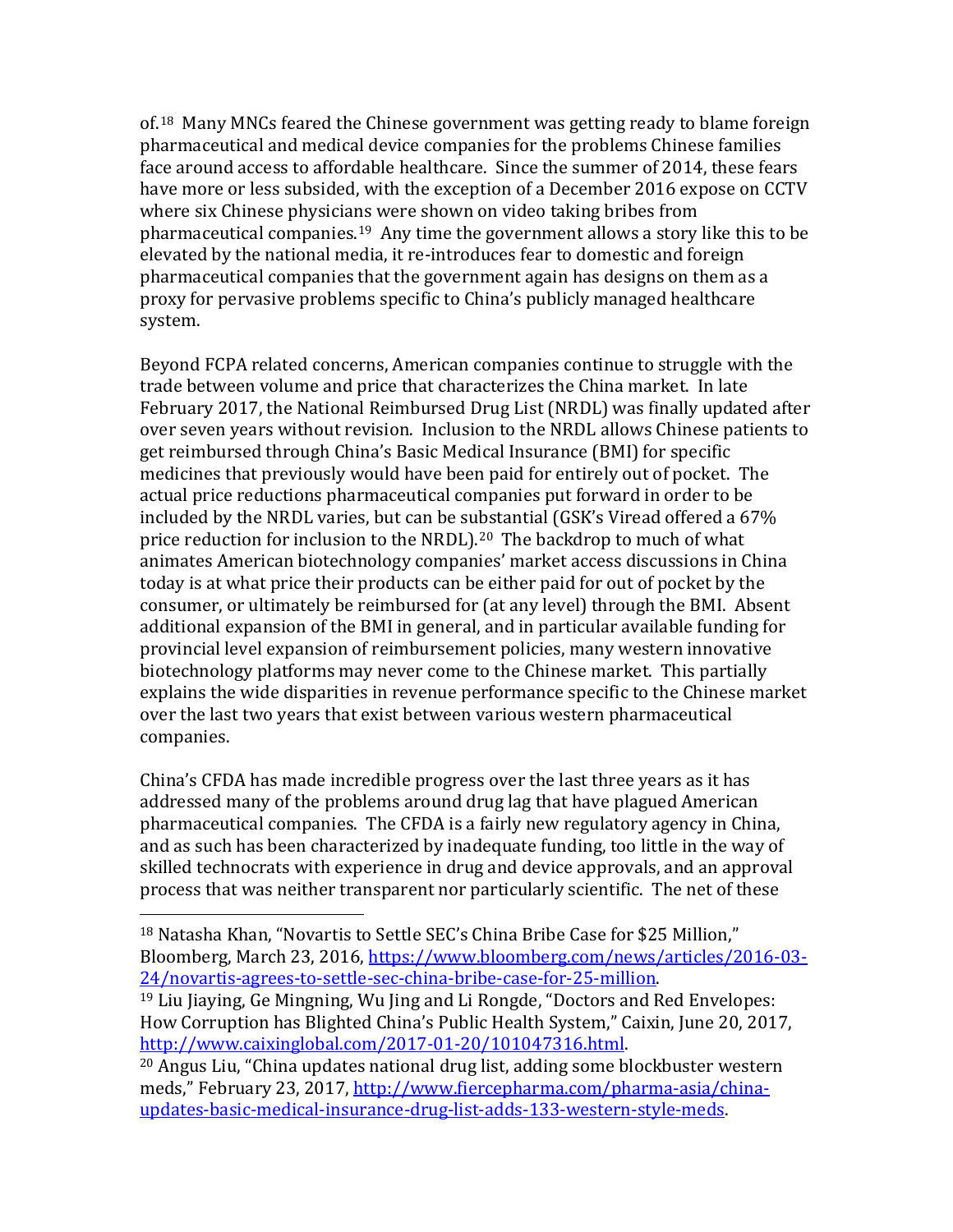of.[18](#page-8-0) Many MNCs feared the Chinese government was getting ready to blame foreign pharmaceutical and medical device companies for the problems Chinese families face around access to affordable healthcare. Since the summer of 2014, these fears have more or less subsided, with the exception of a December 2016 expose on CCTV where six Chinese physicians were shown on video taking bribes from pharmaceutical companies.[19](#page-8-1) Any time the government allows a story like this to be elevated by the national media, it re-introduces fear to domestic and foreign pharmaceutical companies that the government again has designs on them as a proxy for pervasive problems specific to China's publicly managed healthcare system.

Beyond FCPA related concerns, American companies continue to struggle with the trade between volume and price that characterizes the China market. In late February 2017, the National Reimbursed Drug List (NRDL) was finally updated after over seven years without revision. Inclusion to the NRDL allows Chinese patients to get reimbursed through China's Basic Medical Insurance (BMI) for specific medicines that previously would have been paid for entirely out of pocket. The actual price reductions pharmaceutical companies put forward in order to be included by the NRDL varies, but can be substantial (GSK's Viread offered a 67% price reduction for inclusion to the NRDL).<sup>[20](#page-8-2)</sup> The backdrop to much of what animates American biotechnology companies' market access discussions in China today is at what price their products can be either paid for out of pocket by the consumer, or ultimately be reimbursed for (at any level) through the BMI. Absent additional expansion of the BMI in general, and in particular available funding for provincial level expansion of reimbursement policies, many western innovative biotechnology platforms may never come to the Chinese market. This partially explains the wide disparities in revenue performance specific to the Chinese market over the last two years that exist between various western pharmaceutical companies.

China's CFDA has made incredible progress over the last three years as it has addressed many of the problems around drug lag that have plagued American pharmaceutical companies. The CFDA is a fairly new regulatory agency in China, and as such has been characterized by inadequate funding, too little in the way of skilled technocrats with experience in drug and device approvals, and an approval process that was neither transparent nor particularly scientific. The net of these

<span id="page-8-0"></span> <sup>18</sup> Natasha Khan, "Novartis to Settle SEC's China Bribe Case for \$25 Million," Bloomberg, March 23, 2016, [https://www.bloomberg.com/news/articles/2016-03-](https://www.bloomberg.com/news/articles/2016-03-24/novartis-agrees-to-settle-sec-china-bribe-case-for-25-million)<br>24/novartis-agrees-to-settle-sec-china-bribe-case-for-25-million.

<span id="page-8-1"></span><sup>&</sup>lt;sup>19</sup> Liu Jiaying, Ge Mingning, Wu Jing and Li Rongde, "Doctors and Red Envelopes: How Corruption has Blighted China's Public Health System," Caixin, June 20, 2017, http://www.caixinglobal.com/2017-01-20/101047316.html.

<span id="page-8-2"></span><sup>&</sup>lt;sup>20</sup> Angus Liu, "China updates national drug list, adding some blockbuster western meds," February 23, 2017, [http://www.fiercepharma.com/pharma-asia/china](http://www.fiercepharma.com/pharma-asia/china-updates-basic-medical-insurance-drug-list-adds-133-western-style-meds)[updates-basic-medical-insurance-drug-list-adds-133-western-style-meds.](http://www.fiercepharma.com/pharma-asia/china-updates-basic-medical-insurance-drug-list-adds-133-western-style-meds)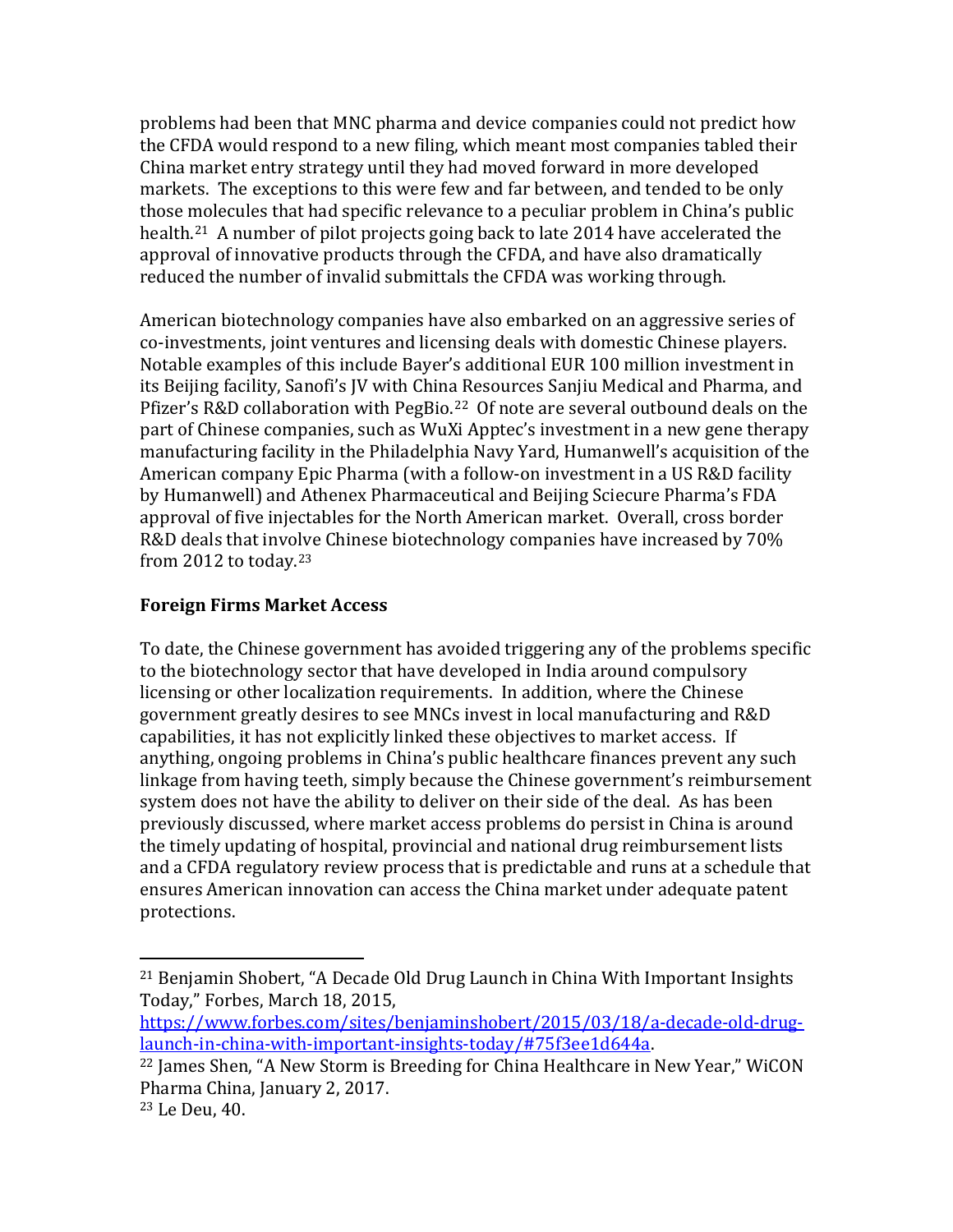problems had been that MNC pharma and device companies could not predict how the CFDA would respond to a new filing, which meant most companies tabled their China market entry strategy until they had moved forward in more developed markets. The exceptions to this were few and far between, and tended to be only those molecules that had specific relevance to a peculiar problem in China's public health.[21](#page-9-0) A number of pilot projects going back to late 2014 have accelerated the approval of innovative products through the CFDA, and have also dramatically reduced the number of invalid submittals the CFDA was working through.

American biotechnology companies have also embarked on an aggressive series of co-investments, joint ventures and licensing deals with domestic Chinese players. Notable examples of this include Bayer's additional EUR 100 million investment in its Beijing facility, Sanofi's JV with China Resources Sanjiu Medical and Pharma, and Pfizer's R&D collaboration with PegBio.<sup>[22](#page-9-1)</sup> Of note are several outbound deals on the part of Chinese companies, such as WuXi Apptec's investment in a new gene therapy manufacturing facility in the Philadelphia Navy Yard, Humanwell's acquisition of the American company Epic Pharma (with a follow-on investment in a US R&D facility by Humanwell) and Athenex Pharmaceutical and Beijing Sciecure Pharma's FDA approval of five injectables for the North American market. Overall, cross border R&D deals that involve Chinese biotechnology companies have increased by 70% from 2012 to today.[23](#page-9-2) 

### **Foreign Firms Market Access**

To date, the Chinese government has avoided triggering any of the problems specific to the biotechnology sector that have developed in India around compulsory licensing or other localization requirements. In addition, where the Chinese government greatly desires to see MNCs invest in local manufacturing and R&D capabilities, it has not explicitly linked these objectives to market access. If anything, ongoing problems in China's public healthcare finances prevent any such linkage from having teeth, simply because the Chinese government's reimbursement system does not have the ability to deliver on their side of the deal. As has been previously discussed, where market access problems do persist in China is around the timely updating of hospital, provincial and national drug reimbursement lists and a CFDA regulatory review process that is predictable and runs at a schedule that ensures American innovation can access the China market under adequate patent protections.

<span id="page-9-0"></span> <sup>21</sup> Benjamin Shobert, "A Decade Old Drug Launch in China With Important Insights Today," Forbes, March 18, 2015,

https://www.forbes.com/sites/benjaminshobert/2015/03/18/a-decade-old-drug-<br>launch-in-china-with-important-insights-today/#75f3ee1d644a.

<span id="page-9-1"></span><sup>&</sup>lt;sup>22</sup> James Shen, "A New Storm is Breeding for China Healthcare in New Year," WiCON Pharma China, January 2, 2017.

<span id="page-9-2"></span><sup>23</sup> Le Deu, 40.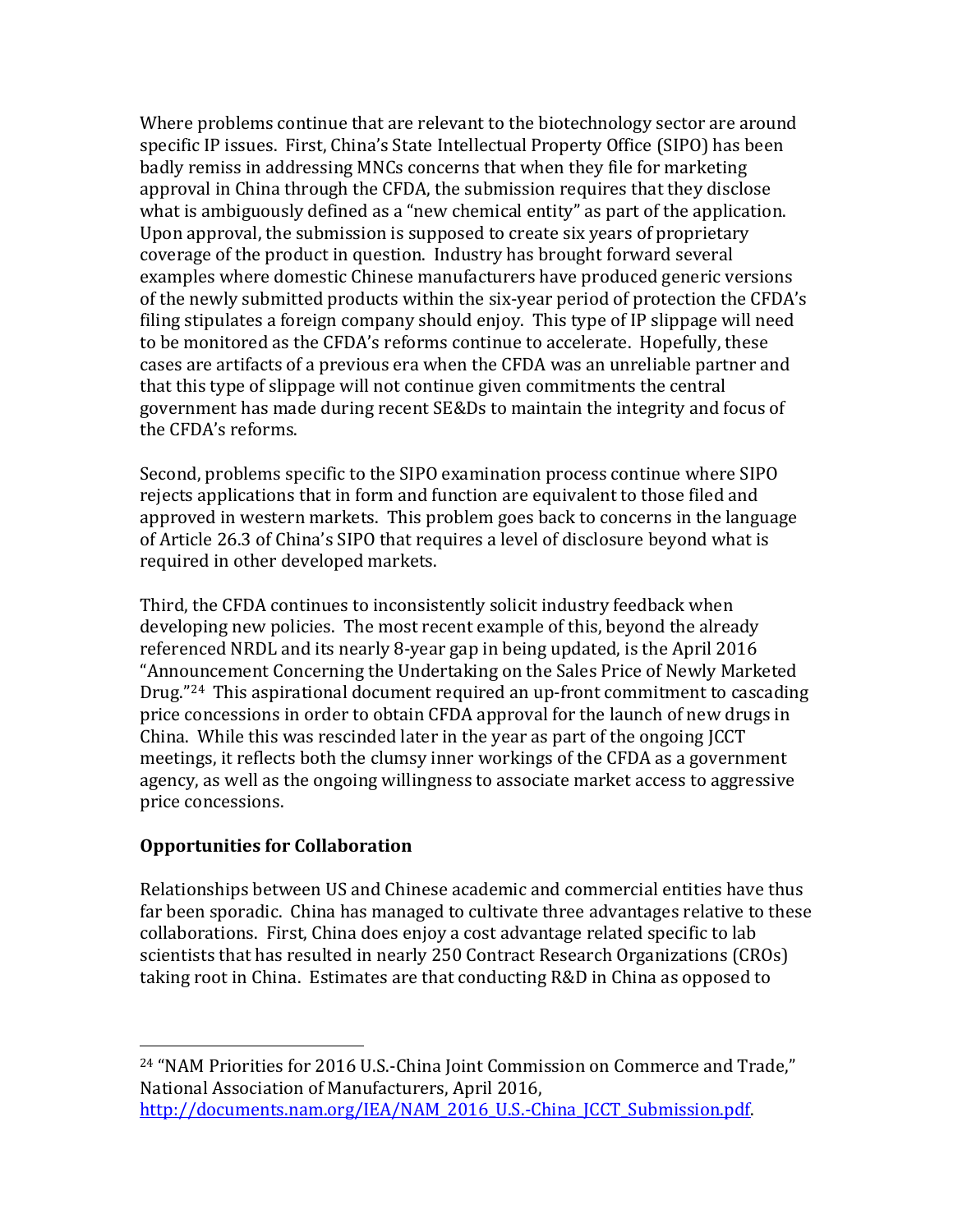Where problems continue that are relevant to the biotechnology sector are around specific IP issues. First, China's State Intellectual Property Office (SIPO) has been badly remiss in addressing MNCs concerns that when they file for marketing approval in China through the CFDA, the submission requires that they disclose what is ambiguously defined as a "new chemical entity" as part of the application. Upon approval, the submission is supposed to create six years of proprietary coverage of the product in question. Industry has brought forward several examples where domestic Chinese manufacturers have produced generic versions of the newly submitted products within the six-year period of protection the CFDA's filing stipulates a foreign company should enjoy. This type of IP slippage will need to be monitored as the CFDA's reforms continue to accelerate. Hopefully, these cases are artifacts of a previous era when the CFDA was an unreliable partner and that this type of slippage will not continue given commitments the central government has made during recent SE&Ds to maintain the integrity and focus of the CFDA's reforms.

Second, problems specific to the SIPO examination process continue where SIPO rejects applications that in form and function are equivalent to those filed and approved in western markets. This problem goes back to concerns in the language of Article 26.3 of China's SIPO that requires a level of disclosure beyond what is required in other developed markets.

Third, the CFDA continues to inconsistently solicit industry feedback when developing new policies. The most recent example of this, beyond the already referenced NRDL and its nearly 8-year gap in being updated, is the April 2016 "Announcement Concerning the Undertaking on the Sales Price of Newly Marketed Drug."[24](#page-10-0) This aspirational document required an up-front commitment to cascading price concessions in order to obtain CFDA approval for the launch of new drugs in China. While this was rescinded later in the year as part of the ongoing JCCT meetings, it reflects both the clumsy inner workings of the CFDA as a government agency, as well as the ongoing willingness to associate market access to aggressive price concessions.

## **Opportunities for Collaboration**

Relationships between US and Chinese academic and commercial entities have thus far been sporadic. China has managed to cultivate three advantages relative to these collaborations. First, China does enjoy a cost advantage related specific to lab scientists that has resulted in nearly 250 Contract Research Organizations (CROs) taking root in China. Estimates are that conducting R&D in China as opposed to

<span id="page-10-0"></span> <sup>24</sup> "NAM Priorities for 2016 U.S.-China Joint Commission on Commerce and Trade," National Association of Manufacturers, April 2016, http://documents.nam.org/IEA/NAM\_2016\_U.S.-China\_JCCT\_Submission.pdf.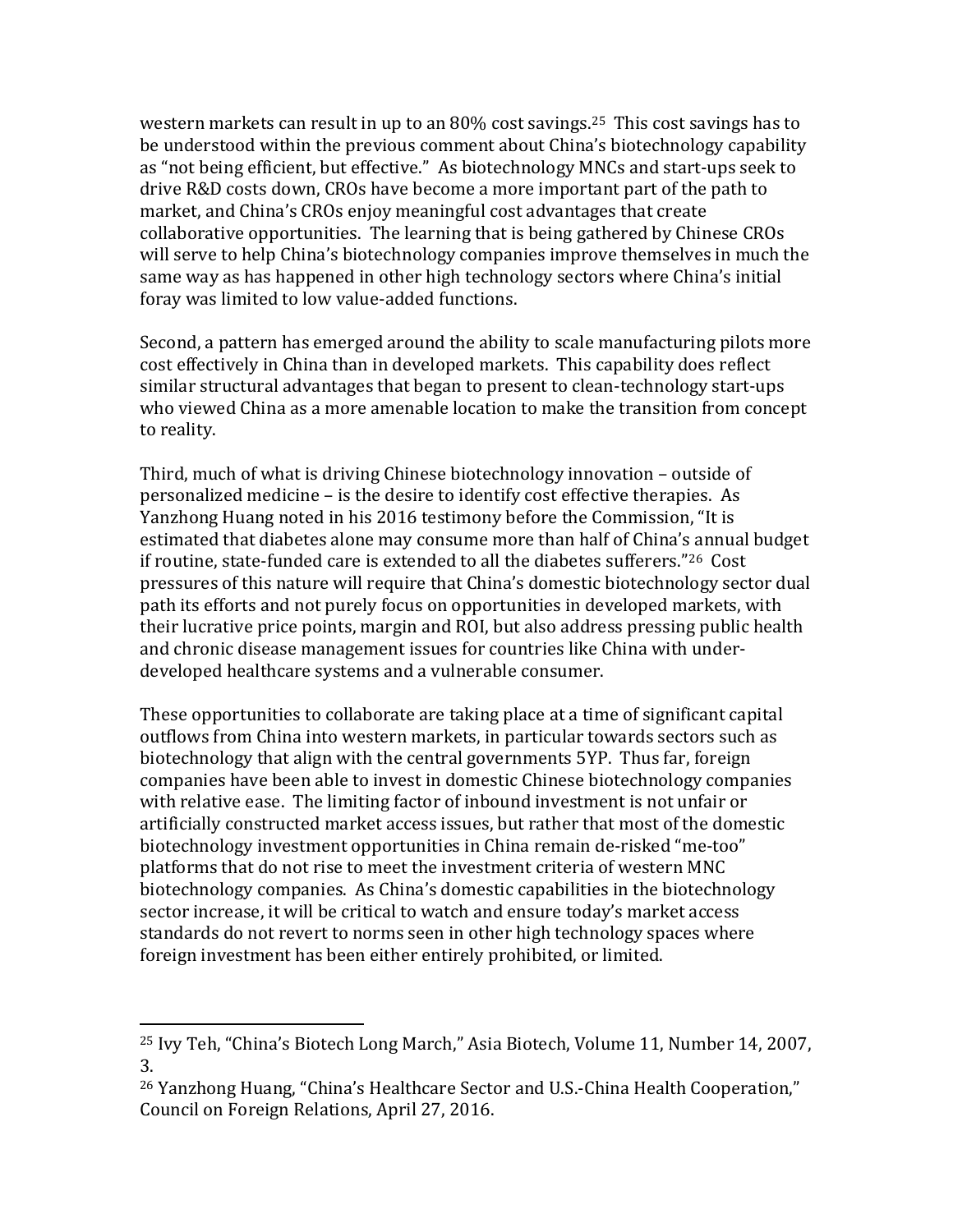western markets can result in up to an  $80\%$  cost savings.<sup>[25](#page-11-0)</sup> This cost savings has to be understood within the previous comment about China's biotechnology capability as "not being efficient, but effective." As biotechnology MNCs and start-ups seek to drive R&D costs down, CROs have become a more important part of the path to market, and China's CROs enjoy meaningful cost advantages that create collaborative opportunities. The learning that is being gathered by Chinese CROs will serve to help China's biotechnology companies improve themselves in much the same way as has happened in other high technology sectors where China's initial foray was limited to low value-added functions.

Second, a pattern has emerged around the ability to scale manufacturing pilots more cost effectively in China than in developed markets. This capability does reflect similar structural advantages that began to present to clean-technology start-ups who viewed China as a more amenable location to make the transition from concept to reality.

Third, much of what is driving Chinese biotechnology innovation – outside of personalized medicine – is the desire to identify cost effective therapies. As Yanzhong Huang noted in his 2016 testimony before the Commission, "It is estimated that diabetes alone may consume more than half of China's annual budget if routine, state-funded care is extended to all the diabetes sufferers."[26](#page-11-1) Cost pressures of this nature will require that China's domestic biotechnology sector dual path its efforts and not purely focus on opportunities in developed markets, with their lucrative price points, margin and ROI, but also address pressing public health and chronic disease management issues for countries like China with underdeveloped healthcare systems and a vulnerable consumer.

These opportunities to collaborate are taking place at a time of significant capital outflows from China into western markets, in particular towards sectors such as biotechnology that align with the central governments 5YP. Thus far, foreign companies have been able to invest in domestic Chinese biotechnology companies with relative ease. The limiting factor of inbound investment is not unfair or artificially constructed market access issues, but rather that most of the domestic biotechnology investment opportunities in China remain de-risked "me-too" platforms that do not rise to meet the investment criteria of western MNC biotechnology companies. As China's domestic capabilities in the biotechnology sector increase, it will be critical to watch and ensure today's market access standards do not revert to norms seen in other high technology spaces where foreign investment has been either entirely prohibited, or limited.

<span id="page-11-0"></span> <sup>25</sup> Ivy Teh, "China's Biotech Long March," Asia Biotech, Volume 11, Number 14, 2007, 3.

<span id="page-11-1"></span><sup>26</sup> Yanzhong Huang, "China's Healthcare Sector and U.S.-China Health Cooperation," Council on Foreign Relations, April 27, 2016.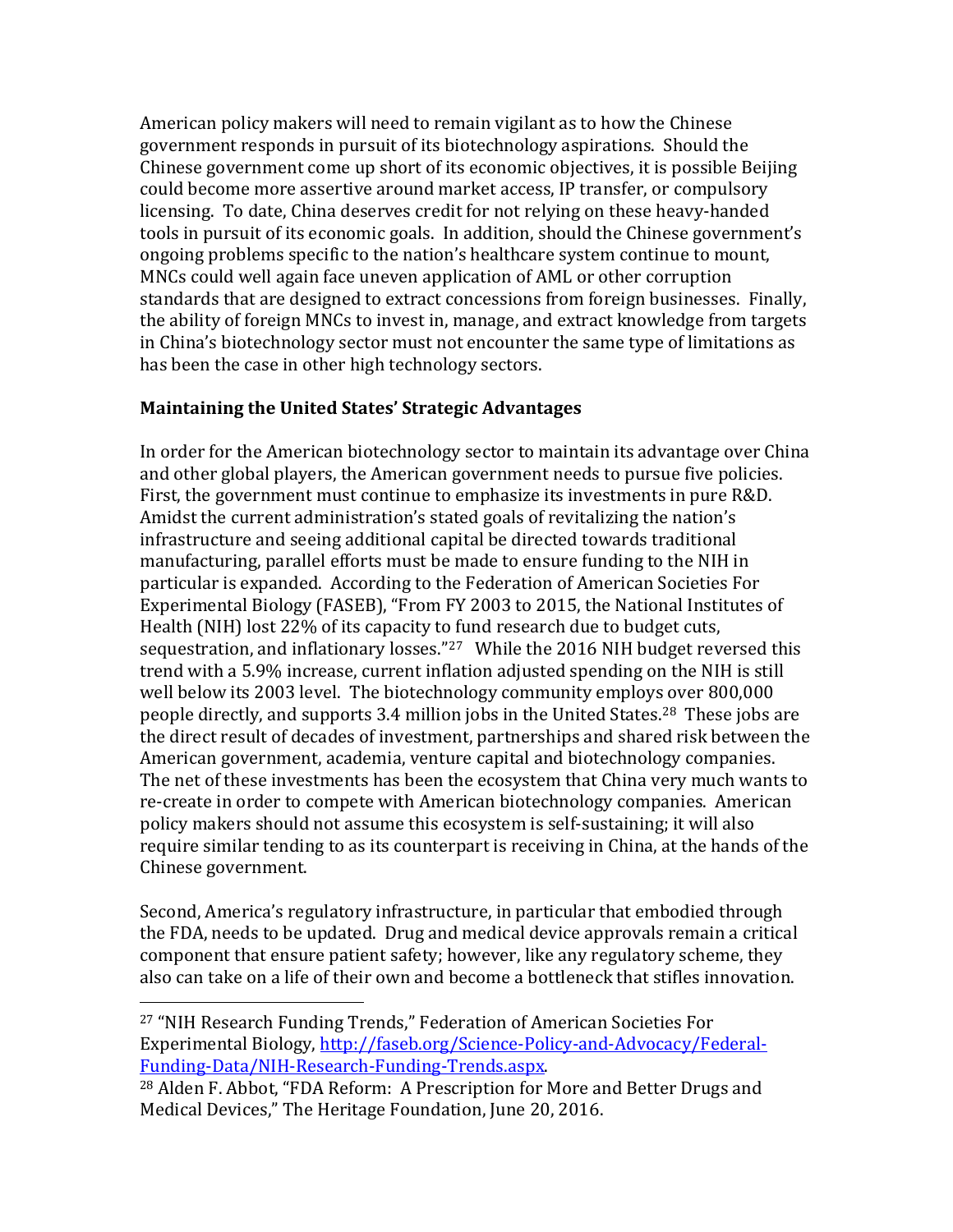American policy makers will need to remain vigilant as to how the Chinese government responds in pursuit of its biotechnology aspirations. Should the Chinese government come up short of its economic objectives, it is possible Beijing could become more assertive around market access, IP transfer, or compulsory licensing. To date, China deserves credit for not relying on these heavy-handed tools in pursuit of its economic goals. In addition, should the Chinese government's ongoing problems specific to the nation's healthcare system continue to mount, MNCs could well again face uneven application of AML or other corruption standards that are designed to extract concessions from foreign businesses. Finally, the ability of foreign MNCs to invest in, manage, and extract knowledge from targets in China's biotechnology sector must not encounter the same type of limitations as has been the case in other high technology sectors.

### **Maintaining the United States' Strategic Advantages**

In order for the American biotechnology sector to maintain its advantage over China and other global players, the American government needs to pursue five policies. First, the government must continue to emphasize its investments in pure R&D. Amidst the current administration's stated goals of revitalizing the nation's infrastructure and seeing additional capital be directed towards traditional manufacturing, parallel efforts must be made to ensure funding to the NIH in particular is expanded. According to the Federation of American Societies For Experimental Biology (FASEB), "From FY 2003 to 2015, the National Institutes of Health (NIH) lost 22% of its capacity to fund research due to budget cuts, sequestration, and inflationary losses."<sup>27</sup> While the 2016 NIH budget reversed this trend with a 5.9% increase, current inflation adjusted spending on the NIH is still well below its 2003 level. The biotechnology community employs over 800,000 people directly, and supports 3.4 million jobs in the United States.[28](#page-12-1) These jobs are the direct result of decades of investment, partnerships and shared risk between the American government, academia, venture capital and biotechnology companies. The net of these investments has been the ecosystem that China very much wants to re-create in order to compete with American biotechnology companies. American policy makers should not assume this ecosystem is self-sustaining; it will also require similar tending to as its counterpart is receiving in China, at the hands of the Chinese government.

Second, America's regulatory infrastructure, in particular that embodied through the FDA, needs to be updated. Drug and medical device approvals remain a critical component that ensure patient safety; however, like any regulatory scheme, they also can take on a life of their own and become a bottleneck that stifles innovation.

<span id="page-12-0"></span> <sup>27</sup> "NIH Research Funding Trends," Federation of American Societies For Experimental Biology, http://faseb.org/Science-Policy-and-Advocacy/Federal-<br>Funding-Data/NIH-Research-Funding-Trends.aspx.

<span id="page-12-1"></span><sup>&</sup>lt;sup>28</sup> Alden F. Abbot, "FDA Reform: A Prescription for More and Better Drugs and Medical Devices," The Heritage Foundation, June 20, 2016.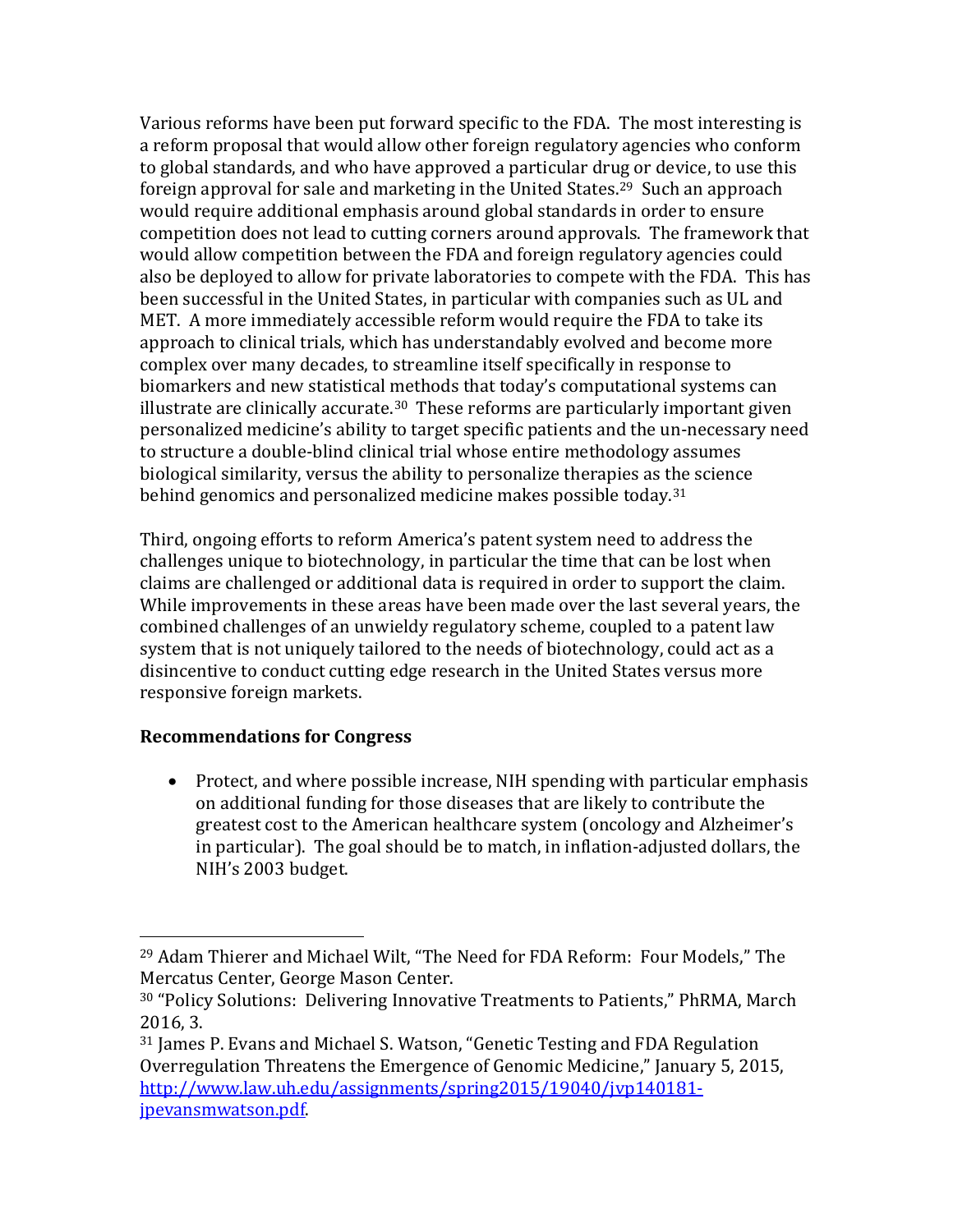Various reforms have been put forward specific to the FDA. The most interesting is a reform proposal that would allow other foreign regulatory agencies who conform to global standards, and who have approved a particular drug or device, to use this foreign approval for sale and marketing in the United States.<sup>[29](#page-13-0)</sup> Such an approach would require additional emphasis around global standards in order to ensure competition does not lead to cutting corners around approvals. The framework that would allow competition between the FDA and foreign regulatory agencies could also be deployed to allow for private laboratories to compete with the FDA. This has been successful in the United States, in particular with companies such as UL and MET. A more immediately accessible reform would require the FDA to take its approach to clinical trials, which has understandably evolved and become more complex over many decades, to streamline itself specifically in response to biomarkers and new statistical methods that today's computational systems can illustrate are clinically accurate. [30](#page-13-1) These reforms are particularly important given personalized medicine's ability to target specific patients and the un-necessary need to structure a double-blind clinical trial whose entire methodology assumes biological similarity, versus the ability to personalize therapies as the science behind genomics and personalized medicine makes possible today.<sup>[31](#page-13-2)</sup>

Third, ongoing efforts to reform America's patent system need to address the challenges unique to biotechnology, in particular the time that can be lost when claims are challenged or additional data is required in order to support the claim. While improvements in these areas have been made over the last several years, the combined challenges of an unwieldy regulatory scheme, coupled to a patent law system that is not uniquely tailored to the needs of biotechnology, could act as a disincentive to conduct cutting edge research in the United States versus more responsive foreign markets.

#### **Recommendations for Congress**

• Protect, and where possible increase, NIH spending with particular emphasis on additional funding for those diseases that are likely to contribute the greatest cost to the American healthcare system (oncology and Alzheimer's in particular). The goal should be to match, in inflation-adjusted dollars, the NIH's 2003 budget.

<span id="page-13-0"></span> <sup>29</sup> Adam Thierer and Michael Wilt, "The Need for FDA Reform: Four Models," The Mercatus Center, George Mason Center.

<span id="page-13-1"></span><sup>30</sup> "Policy Solutions: Delivering Innovative Treatments to Patients," PhRMA, March 2016, 3.

<span id="page-13-2"></span><sup>31</sup> James P. Evans and Michael S. Watson, "Genetic Testing and FDA Regulation Overregulation Threatens the Emergence of Genomic Medicine," January 5, 2015, [http://www.law.uh.edu/assignments/spring2015/19040/jvp140181](http://www.law.uh.edu/assignments/spring2015/19040/jvp140181-jpevansmwatson.pdf) [jpevansmwatson.pdf.](http://www.law.uh.edu/assignments/spring2015/19040/jvp140181-jpevansmwatson.pdf)